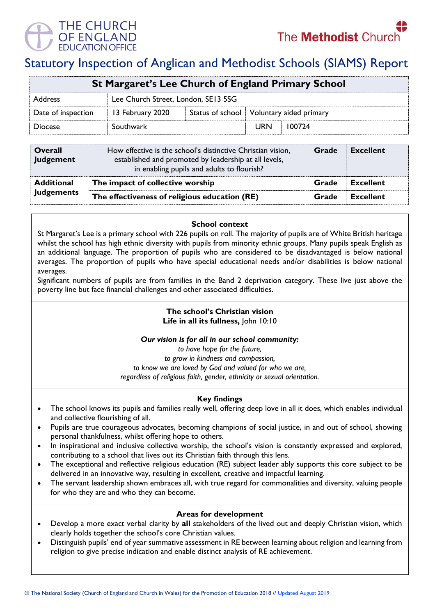

# Statutory Inspection of Anglican and Methodist Schools (SIAMS) Report

| St Margaret's Lee Church of England Primary School |                                     |  |                                            |        |  |
|----------------------------------------------------|-------------------------------------|--|--------------------------------------------|--------|--|
| Address                                            | Lee Church Street, London, SE13 5SG |  |                                            |        |  |
| Date of inspection                                 | 13 February 2020                    |  | Status of school   Voluntary aided primary |        |  |
| <b>Diocese</b>                                     | Southwark                           |  | <b>URN</b>                                 | 100724 |  |
|                                                    |                                     |  |                                            |        |  |

| Overall<br>Judgement | How effective is the school's distinctive Christian vision,<br>established and promoted by leadership at all levels,<br>in enabling pupils and adults to flourish? | Grade | <b>Excellent</b> |
|----------------------|--------------------------------------------------------------------------------------------------------------------------------------------------------------------|-------|------------------|
| <b>Additional</b>    | The impact of collective worship                                                                                                                                   | Grade | <b>Excellent</b> |
| <b>Judgements</b>    | The effectiveness of religious education (RE)                                                                                                                      | Grade | <b>Excellent</b> |

# **School context**

St Margaret's Lee is a primary school with 226 pupils on roll. The majority of pupils are of White British heritage whilst the school has high ethnic diversity with pupils from minority ethnic groups. Many pupils speak English as an additional language. The proportion of pupils who are considered to be disadvantaged is below national averages. The proportion of pupils who have special educational needs and/or disabilities is below national averages.

Significant numbers of pupils are from families in the Band 2 deprivation category. These live just above the poverty line but face financial challenges and other associated difficulties.

# **The school's Christian vision Life in all its fullness,** John 10:10

#### *Our vision is for all in our school community:*

*to have hope for the future, to grow in kindness and compassion, to know we are loved by God and valued for who we are, regardless of religious faith, gender, ethnicity or sexual orientation.*

#### **Key findings**

- The school knows its pupils and families really well, offering deep love in all it does, which enables individual and collective flourishing of all.
- Pupils are true courageous advocates, becoming champions of social justice, in and out of school, showing personal thankfulness, whilst offering hope to others.
- In inspirational and inclusive collective worship, the school's vision is constantly expressed and explored, contributing to a school that lives out its Christian faith through this lens.
- The exceptional and reflective religious education (RE) subject leader ably supports this core subject to be delivered in an innovative way, resulting in excellent, creative and impactful learning.
- The servant leadership shown embraces all, with true regard for commonalities and diversity, valuing people for who they are and who they can become.

# **Areas for development**

- Develop a more exact verbal clarity by **all** stakeholders of the lived out and deeply Christian vision, which clearly holds together the school's core Christian values.
- Distinguish pupils' end of year summative assessment in RE between learning about religion and learning from religion to give precise indication and enable distinct analysis of RE achievement.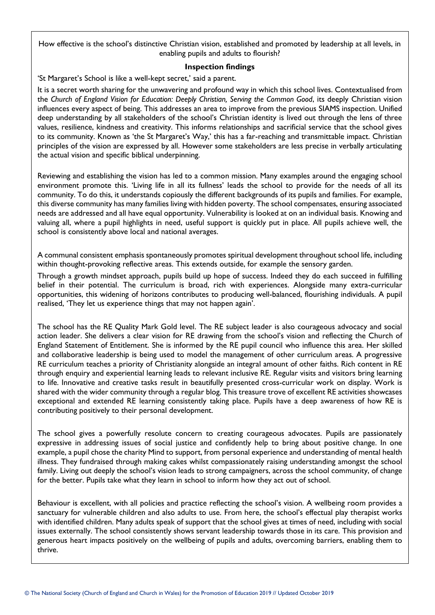How effective is the school's distinctive Christian vision, established and promoted by leadership at all levels, in enabling pupils and adults to flourish?

# **Inspection findings**

'St Margaret's School is like a well-kept secret,' said a parent.

It is a secret worth sharing for the unwavering and profound way in which this school lives. Contextualised from the *Church of England Vision for Education: Deeply Christian, Serving the Common Good*, its deeply Christian vision influences every aspect of being. This addresses an area to improve from the previous SIAMS inspection. Unified deep understanding by all stakeholders of the school's Christian identity is lived out through the lens of three values, resilience, kindness and creativity. This informs relationships and sacrificial service that the school gives to its community. Known as 'the St Margaret's Way,' this has a far-reaching and transmittable impact. Christian principles of the vision are expressed by all. However some stakeholders are less precise in verbally articulating the actual vision and specific biblical underpinning.

Reviewing and establishing the vision has led to a common mission. Many examples around the engaging school environment promote this. 'Living life in all its fullness' leads the school to provide for the needs of all its community. To do this, it understands copiously the different backgrounds of its pupils and families. For example, this diverse community has many families living with hidden poverty. The school compensates, ensuring associated needs are addressed and all have equal opportunity. Vulnerability is looked at on an individual basis. Knowing and valuing all, where a pupil highlights in need, useful support is quickly put in place. All pupils achieve well, the school is consistently above local and national averages.

A communal consistent emphasis spontaneously promotes spiritual development throughout school life, including within thought-provoking reflective areas. This extends outside, for example the sensory garden.

Through a growth mindset approach, pupils build up hope of success. Indeed they do each succeed in fulfilling belief in their potential. The curriculum is broad, rich with experiences. Alongside many extra-curricular opportunities, this widening of horizons contributes to producing well-balanced, flourishing individuals. A pupil realised, 'They let us experience things that may not happen again'.

The school has the RE Quality Mark Gold level. The RE subject leader is also courageous advocacy and social action leader. She delivers a clear vision for RE drawing from the school's vision and reflecting the Church of England Statement of Entitlement. She is informed by the RE pupil council who influence this area. Her skilled and collaborative leadership is being used to model the management of other curriculum areas. A progressive RE curriculum teaches a priority of Christianity alongside an integral amount of other faiths. Rich content in RE through enquiry and experiential learning leads to relevant inclusive RE. Regular visits and visitors bring learning to life. Innovative and creative tasks result in beautifully presented cross-curricular work on display. Work is shared with the wider community through a regular blog. This treasure trove of excellent RE activities showcases exceptional and extended RE learning consistently taking place. Pupils have a deep awareness of how RE is contributing positively to their personal development.

The school gives a powerfully resolute concern to creating courageous advocates. Pupils are passionately expressive in addressing issues of social justice and confidently help to bring about positive change. In one example, a pupil chose the charity Mind to support, from personal experience and understanding of mental health illness. They fundraised through making cakes whilst compassionately raising understanding amongst the school family. Living out deeply the school's vision leads to strong campaigners, across the school community, of change for the better. Pupils take what they learn in school to inform how they act out of school.

Behaviour is excellent, with all policies and practice reflecting the school's vision. A wellbeing room provides a sanctuary for vulnerable children and also adults to use. From here, the school's effectual play therapist works with identified children. Many adults speak of support that the school gives at times of need, including with social issues externally. The school consistently shows servant leadership towards those in its care. This provision and generous heart impacts positively on the wellbeing of pupils and adults, overcoming barriers, enabling them to thrive.